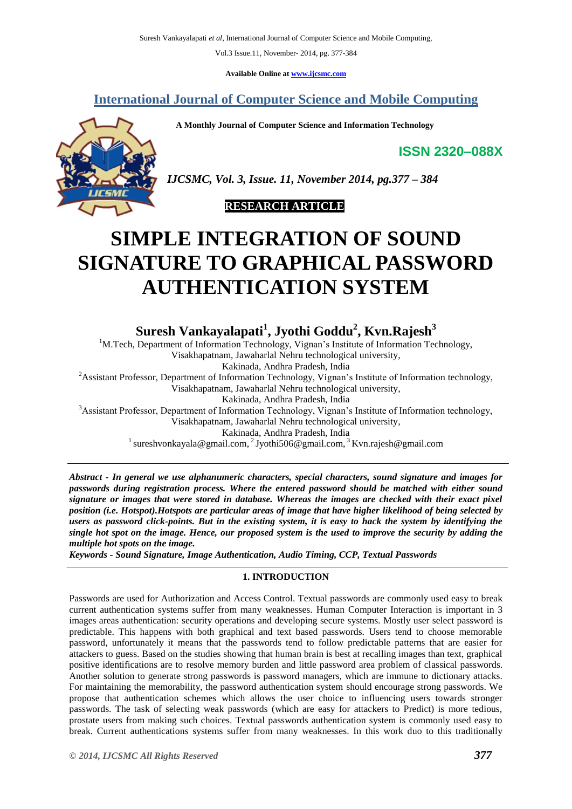**Available Online at [www.ijcsmc.com](http://www.ijcsmc.com/)**

## **International Journal of Computer Science and Mobile Computing**

 **A Monthly Journal of Computer Science and Information Technology**

**ISSN 2320–088X**



*IJCSMC, Vol. 3, Issue. 11, November 2014, pg.377 – 384*



# **SIMPLE INTEGRATION OF SOUND SIGNATURE TO GRAPHICAL PASSWORD AUTHENTICATION SYSTEM**

**Suresh Vankayalapati<sup>1</sup> , Jyothi Goddu<sup>2</sup> , Kvn.Rajesh<sup>3</sup>**

<sup>1</sup>M.Tech, Department of Information Technology, Vignan's Institute of Information Technology, Visakhapatnam, Jawaharlal Nehru technological university, Kakinada, Andhra Pradesh, India

<sup>2</sup>Assistant Professor, Department of Information Technology, Vignan's Institute of Information technology,

Visakhapatnam, Jawaharlal Nehru technological university,

Kakinada, Andhra Pradesh, India

<sup>3</sup>Assistant Professor, Department of Information Technology, Vignan's Institute of Information technology, Visakhapatnam, Jawaharlal Nehru technological university,

Kakinada, Andhra Pradesh, India

<sup>1</sup> sureshvonkayala@gmail.com, <sup>2</sup> Jyothi506@gmail.com, <sup>3</sup> Kvn.rajesh@gmail.com

*Abstract - In general we use alphanumeric characters, special characters, sound signature and images for passwords during registration process. Where the entered password should be matched with either sound signature or images that were stored in database. Whereas the images are checked with their exact pixel position (i.e. Hotspot).Hotspots are particular areas of image that have higher likelihood of being selected by users as password click-points. But in the existing system, it is easy to hack the system by identifying the single hot spot on the image. Hence, our proposed system is the used to improve the security by adding the multiple hot spots on the image.*

*Keywords - Sound Signature, Image Authentication, Audio Timing, CCP, Textual Passwords*

## **1. INTRODUCTION**

Passwords are used for Authorization and Access Control. Textual passwords are commonly used easy to break current authentication systems suffer from many weaknesses. Human Computer Interaction is important in 3 images areas authentication: security operations and developing secure systems. Mostly user select password is predictable. This happens with both graphical and text based passwords. Users tend to choose memorable password, unfortunately it means that the passwords tend to follow predictable patterns that are easier for attackers to guess. Based on the studies showing that human brain is best at recalling images than text, graphical positive identifications are to resolve memory burden and little password area problem of classical passwords. Another solution to generate strong passwords is password managers, which are immune to dictionary attacks. For maintaining the memorability, the password authentication system should encourage strong passwords. We propose that authentication schemes which allows the user choice to influencing users towards stronger passwords. The task of selecting weak passwords (which are easy for attackers to Predict) is more tedious, prostate users from making such choices. Textual passwords authentication system is commonly used easy to break. Current authentications systems suffer from many weaknesses. In this work duo to this traditionally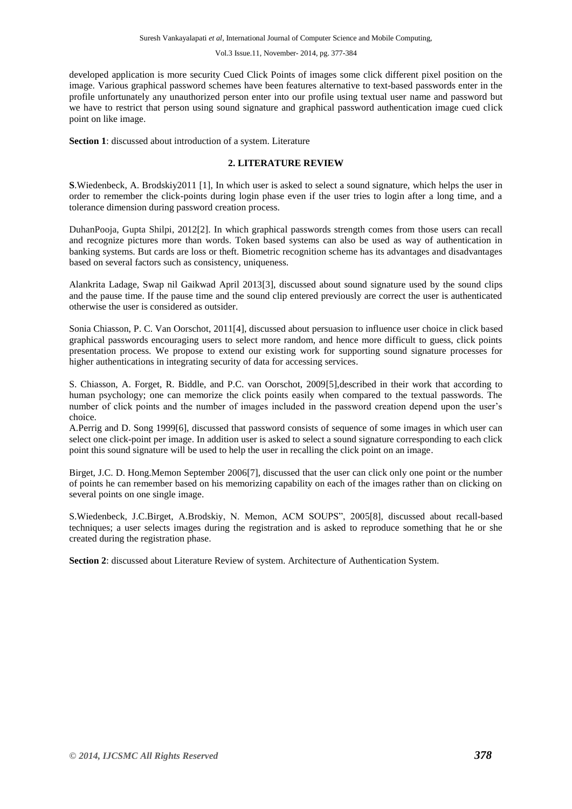developed application is more security Cued Click Points of images some click different pixel position on the image. Various graphical password schemes have been features alternative to text-based passwords enter in the profile unfortunately any unauthorized person enter into our profile using textual user name and password but we have to restrict that person using sound signature and graphical password authentication image cued click point on like image.

**Section 1**: discussed about introduction of a system. Literature

## **2. LITERATURE REVIEW**

**S**.Wiedenbeck, A. Brodskiy2011 [1], In which user is asked to select a sound signature, which helps the user in order to remember the click-points during login phase even if the user tries to login after a long time, and a tolerance dimension during password creation process.

DuhanPooja, Gupta Shilpi, 2012[2]. In which graphical passwords strength comes from those users can recall and recognize pictures more than words. Token based systems can also be used as way of authentication in banking systems. But cards are loss or theft. Biometric recognition scheme has its advantages and disadvantages based on several factors such as consistency, uniqueness.

Alankrita Ladage, Swap nil Gaikwad April 2013[3], discussed about sound signature used by the sound clips and the pause time. If the pause time and the sound clip entered previously are correct the user is authenticated otherwise the user is considered as outsider.

Sonia Chiasson, P. C. Van Oorschot, 2011[4], discussed about persuasion to influence user choice in click based graphical passwords encouraging users to select more random, and hence more difficult to guess, click points presentation process. We propose to extend our existing work for supporting sound signature processes for higher authentications in integrating security of data for accessing services.

S. Chiasson, A. Forget, R. Biddle, and P.C. van Oorschot, 2009[5],described in their work that according to human psychology; one can memorize the click points easily when compared to the textual passwords. The number of click points and the number of images included in the password creation depend upon the user's choice.

A.Perrig and D. Song 1999[6], discussed that password consists of sequence of some images in which user can select one click-point per image. In addition user is asked to select a sound signature corresponding to each click point this sound signature will be used to help the user in recalling the click point on an image.

Birget, J.C. D. Hong.Memon September 2006[7], discussed that the user can click only one point or the number of points he can remember based on his memorizing capability on each of the images rather than on clicking on several points on one single image.

S.Wiedenbeck, J.C.Birget, A.Brodskiy, N. Memon, ACM SOUPS", 2005[8], discussed about recall-based techniques; a user selects images during the registration and is asked to reproduce something that he or she created during the registration phase.

**Section 2**: discussed about Literature Review of system. Architecture of Authentication System.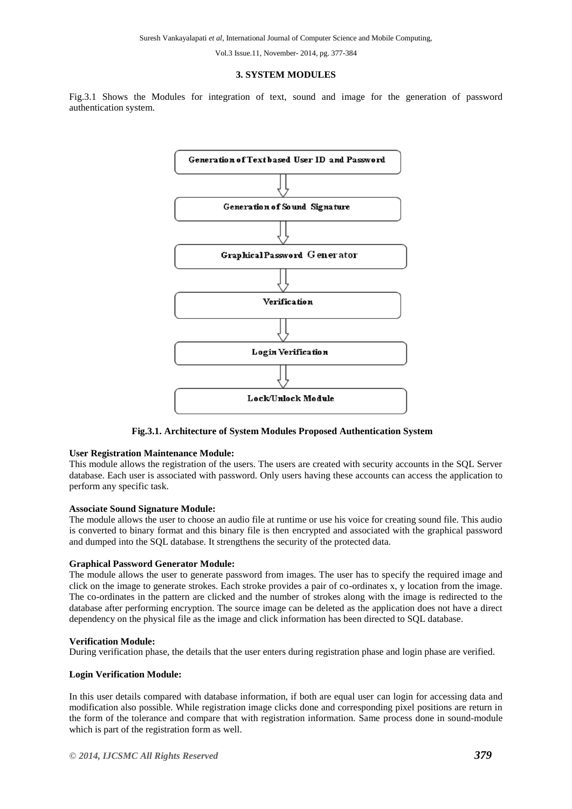## **3. SYSTEM MODULES**

Fig.3.1 Shows the Modules for integration of text, sound and image for the generation of password authentication system.



 **Fig.3.1. Architecture of System Modules Proposed Authentication System**

## **User Registration Maintenance Module:**

This module allows the registration of the users. The users are created with security accounts in the SQL Server database. Each user is associated with password. Only users having these accounts can access the application to perform any specific task.

## **Associate Sound Signature Module:**

The module allows the user to choose an audio file at runtime or use his voice for creating sound file. This audio is converted to binary format and this binary file is then encrypted and associated with the graphical password and dumped into the SQL database. It strengthens the security of the protected data.

## **Graphical Password Generator Module:**

The module allows the user to generate password from images. The user has to specify the required image and click on the image to generate strokes. Each stroke provides a pair of co-ordinates x, y location from the image. The co-ordinates in the pattern are clicked and the number of strokes along with the image is redirected to the database after performing encryption. The source image can be deleted as the application does not have a direct dependency on the physical file as the image and click information has been directed to SQL database.

## **Verification Module:**

During verification phase, the details that the user enters during registration phase and login phase are verified.

## **Login Verification Module:**

In this user details compared with database information, if both are equal user can login for accessing data and modification also possible. While registration image clicks done and corresponding pixel positions are return in the form of the tolerance and compare that with registration information. Same process done in sound-module which is part of the registration form as well.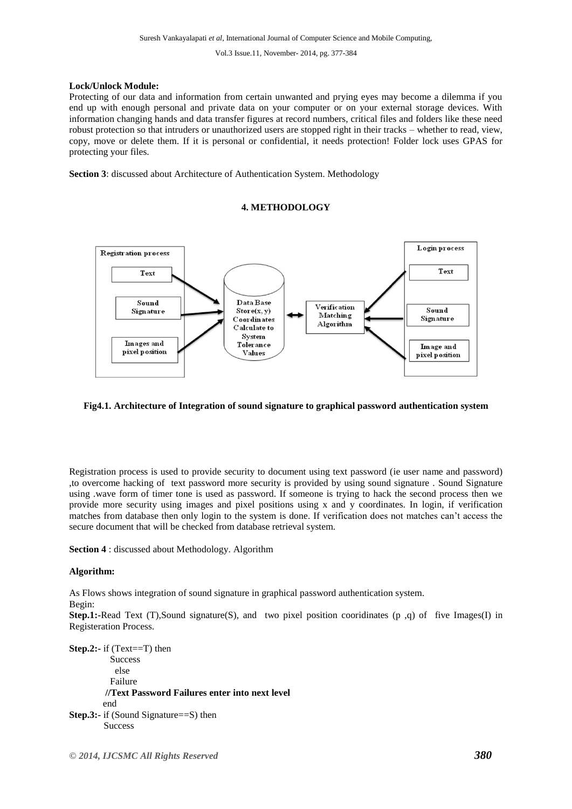## **Lock/Unlock Module:**

Protecting of our data and information from certain unwanted and prying eyes may become a dilemma if you end up with enough personal and private data on your computer or on your external storage devices. With information changing hands and data transfer figures at record numbers, critical files and folders like these need robust protection so that intruders or unauthorized users are stopped right in their tracks – whether to read, view, copy, move or delete them. If it is personal or confidential, it needs protection! Folder lock uses GPAS for protecting your files.

**Section 3**: discussed about Architecture of Authentication System. Methodology

## **4. METHODOLOGY**



## **Fig4.1. Architecture of Integration of sound signature to graphical password authentication system**

Registration process is used to provide security to document using text password (ie user name and password) ,to overcome hacking of text password more security is provided by using sound signature . Sound Signature using .wave form of timer tone is used as password. If someone is trying to hack the second process then we provide more security using images and pixel positions using x and y coordinates. In login, if verification matches from database then only login to the system is done. If verification does not matches can't access the secure document that will be checked from database retrieval system.

**Section 4** : discussed about Methodology. Algorithm

## **Algorithm:**

As Flows shows integration of sound signature in graphical password authentication system.

```
Begin:
```
**Step.1:-**Read Text (T),Sound signature(S), and two pixel position cooridinates (p,q) of five Images(I) in Registeration Process.

**Step.2:-** if (Text==T) then Success else Failure **//Text Password Failures enter into next level** end **Step.3:-** if (Sound Signature==S) then **Success**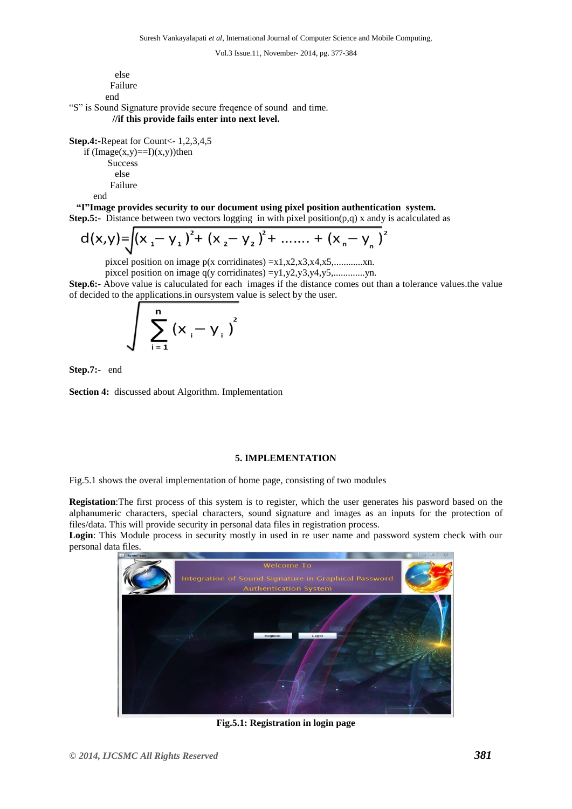else Failure end

"S" is Sound Signature provide secure freqence of sound and time.

#### **//if this provide fails enter into next level.**

```
Step.4:-Repeat for Count<- 1,2,3,4,5
```
 $if (Image(x,y)=I)(x,y))$ then **Success**  else Failure

end

 **"I"Image provides security to our document using pixel position authentication system. Step.5:-** Distance between two vectors logging in with pixel position(p,q) x andy is acalculated as

$$
d(x,y) = \sqrt{(x_1 - y_1)^2 + (x_2 - y_2)^2 + \dots + (x_n - y_n)^2}
$$

pixcel position on image p(x corridinates) =x1,x2,x3,x4,x5,............xn.

pixcel position on image  $q(y \text{ coordinates}) = y1, y2, y3, y4, y5, \dots$ ..............yn.

**Step.6:-** Above value is caluculated for each images if the distance comes out than a tolerance values.the value of decided to the applications.in oursystem value is select by the user.

$$
\int \sum_{i=1}^{n} (x_i - y_i)^2
$$

**Step.7:-** end

**Section 4:** discussed about Algorithm. Implementation

## **5. IMPLEMENTATION**

Fig.5.1 shows the overal implementation of home page, consisting of two modules

**Registation**:The first process of this system is to register, which the user generates his pasword based on the alphanumeric characters, special characters, sound signature and images as an inputs for the protection of files/data. This will provide security in personal data files in registration process.

**Login**: This Module process in security mostly in used in re user name and password system check with our personal data files.



**Fig.5.1: Registration in login page**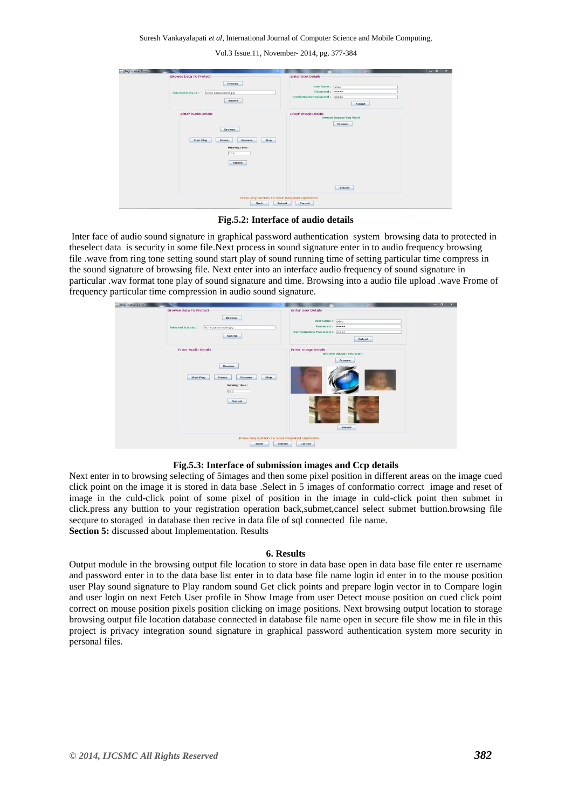#### Suresh Vankayalapati *et al*, International Journal of Computer Science and Mobile Computing,

Vol.3 Issue.11, November- 2014, pg. 377-384

| <b>Browse Data To Protect</b><br><b>Browse</b><br>Selected Data Is :<br>D.\my parasonal\ll.jpg                                  | <b>Enter User Details</b><br>User Name: sring<br>Password:   *****              |  |  |  |  |
|---------------------------------------------------------------------------------------------------------------------------------|---------------------------------------------------------------------------------|--|--|--|--|
| Submit                                                                                                                          | Conformation Password :<br>Submit                                               |  |  |  |  |
| <b>Enter Audio Details</b><br><b>Ilrowse</b><br><b>Start Play</b><br>Pause<br>Resume<br>Stop<br>Running Time:<br>00.8<br>Submit | <b>Enter Image Details</b><br><b>Browse Images You Want</b><br>Browse<br>Submit |  |  |  |  |
| Press Any Button To Your Required Operation<br>Back<br>Submit<br>Cancel                                                         |                                                                                 |  |  |  |  |

**Fig.5.2: Interface of audio details**

Inter face of audio sound signature in graphical password authentication system browsing data to protected in theselect data is security in some file.Next process in sound signature enter in to audio frequency browsing file .wave from ring tone setting sound start play of sound running time of setting particular time compress in the sound signature of browsing file. Next enter into an interface audio frequency of sound signature in particular .wav format tone play of sound signature and time. Browsing into a audio file upload .wave Frome of frequency particular time compression in audio sound signature.





Next enter in to browsing selecting of 5images and then some pixel position in different areas on the image cued click point on the image it is stored in data base .Select in 5 images of conformatio correct image and reset of image in the culd-click point of some pixel of position in the image in culd-click point then submet in click.press any buttion to your registration operation back,submet,cancel select submet buttion.browsing file secqure to storaged in database then recive in data file of sql connected file name. **Section 5:** discussed about Implementation. Results

## **6. Results**

Output module in the browsing output file location to store in data base open in data base file enter re username and password enter in to the data base list enter in to data base file name login id enter in to the mouse position user Play sound signature to Play random sound Get click points and prepare login vector in to Compare login and user login on next Fetch User profile in Show Image from user Detect mouse position on cued click point correct on mouse position pixels position clicking on image positions. Next browsing output location to storage browsing output file location database connected in database file name open in secure file show me in file in this project is privacy integration sound signature in graphical password authentication system more security in personal files.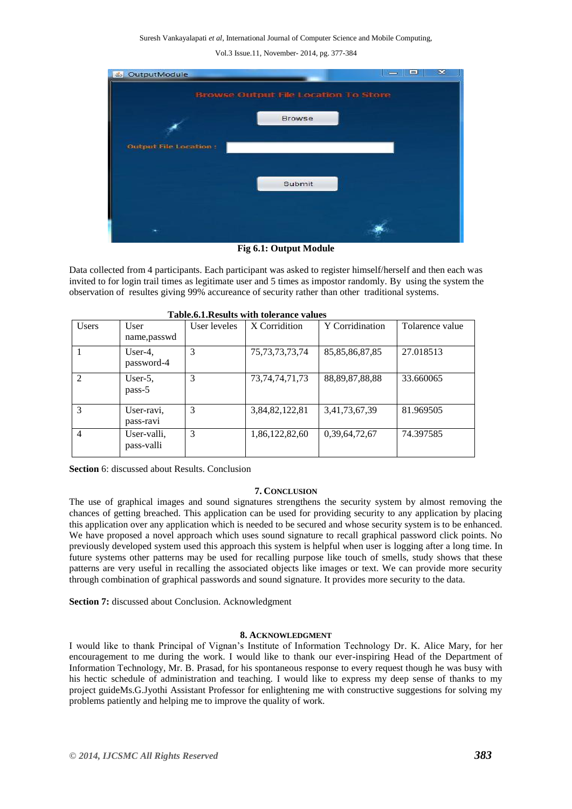Suresh Vankayalapati *et al*, International Journal of Computer Science and Mobile Computing,

Vol.3 Issue.11, November- 2014, pg. 377-384

| & OutputModule               | $\mathbf{x}$<br>ᄆ<br>$\equiv$               |
|------------------------------|---------------------------------------------|
|                              | <b>Browse Output File Location To Store</b> |
|                              | <b>Browse</b>                               |
| <b>Output File Location:</b> |                                             |
|                              | Submit                                      |
|                              |                                             |

**Fig 6.1: Output Module**

Data collected from 4 participants. Each participant was asked to register himself/herself and then each was invited to for login trail times as legitimate user and 5 times as impostor randomly. By using the system the observation of resultes giving 99% accureance of security rather than other traditional systems.

| <b>Users</b>   | User<br>name, passwd      | User leveles | X Corridition      | Y Corridination    | Tolarence value |
|----------------|---------------------------|--------------|--------------------|--------------------|-----------------|
|                | User-4.<br>password-4     | 3            | 75, 73, 73, 73, 74 | 85, 85, 86, 87, 85 | 27.018513       |
| $\mathfrak{D}$ | User- $5$ ,<br>pass-5     | 3            | 73, 74, 74, 71, 73 | 88, 89, 87, 88, 88 | 33.660065       |
| 3              | User-ravi,<br>pass-ravi   | 3            | 3,84,82,122,81     | 3,41,73,67,39      | 81.969505       |
| 4              | User-valli,<br>pass-valli | 3            | 1,86,122,82,60     | 0,39,64,72,67      | 74.397585       |

**Section** 6: discussed about Results. Conclusion

## **7. CONCLUSION**

The use of graphical images and sound signatures strengthens the security system by almost removing the chances of getting breached. This application can be used for providing security to any application by placing this application over any application which is needed to be secured and whose security system is to be enhanced. We have proposed a novel approach which uses sound signature to recall graphical password click points. No previously developed system used this approach this system is helpful when user is logging after a long time. In future systems other patterns may be used for recalling purpose like touch of smells, study shows that these patterns are very useful in recalling the associated objects like images or text. We can provide more security through combination of graphical passwords and sound signature. It provides more security to the data.

Section 7: discussed about Conclusion. Acknowledgment

## **8. ACKNOWLEDGMENT**

I would like to thank Principal of Vignan's Institute of Information Technology Dr. K. Alice Mary, for her encouragement to me during the work. I would like to thank our ever-inspiring Head of the Department of Information Technology, Mr. B. Prasad, for his spontaneous response to every request though he was busy with his hectic schedule of administration and teaching. I would like to express my deep sense of thanks to my project guideMs.G.Jyothi Assistant Professor for enlightening me with constructive suggestions for solving my problems patiently and helping me to improve the quality of work.